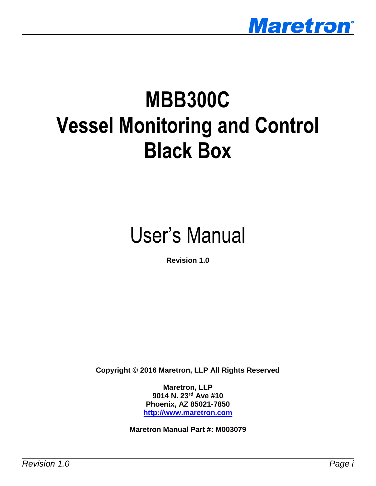

# **MBB300C Vessel Monitoring and Control Black Box**

# User's Manual

**Revision 1.0**

**Copyright © 2016 Maretron, LLP All Rights Reserved**

**Maretron, LLP 9014 N. 23rd Ave #10 Phoenix, AZ 85021-7850 [http://www.maretron.com](http://www.maretron.com/)**

**Maretron Manual Part #: M003079**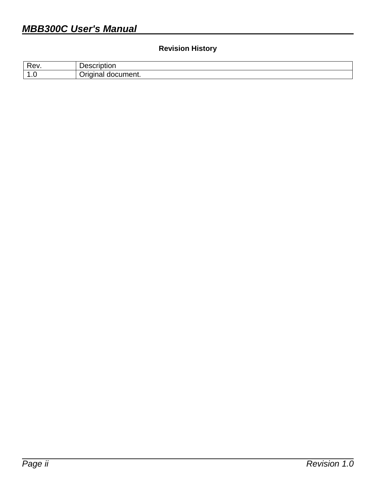#### **Revision History**

| Ra<br>È           | ----- |
|-------------------|-------|
| и                 | .     |
| $\cdot\cdot\cdot$ | n     |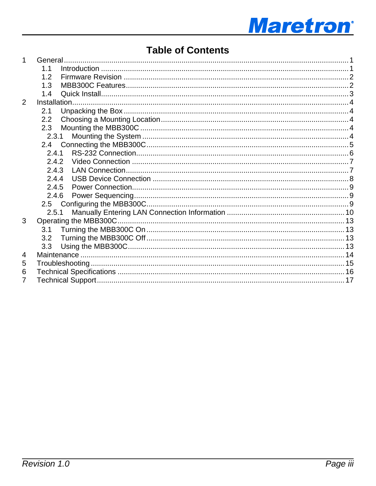

### **Table of Contents**

| 1.             |       |  |
|----------------|-------|--|
|                | 1.1   |  |
|                | 1.2   |  |
|                | 1.3   |  |
|                | 1.4   |  |
| $\overline{2}$ |       |  |
|                | 2.1   |  |
|                | 2.2   |  |
|                | 2.3   |  |
|                |       |  |
|                |       |  |
|                | 2.4.1 |  |
|                | 2.4.2 |  |
|                | 2.4.3 |  |
|                | 2.4.4 |  |
|                | 2.4.5 |  |
|                | 2.4.6 |  |
|                |       |  |
|                | 2.5.1 |  |
| 3              |       |  |
|                | 3.1   |  |
|                | 3.2   |  |
|                | 3.3   |  |
| 4              |       |  |
| 5              |       |  |
| 6              |       |  |
| $\overline{7}$ |       |  |
|                |       |  |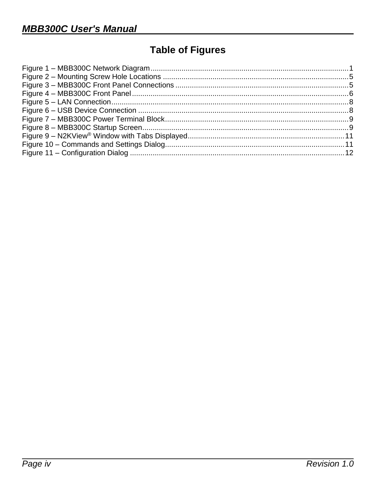# **Table of Figures**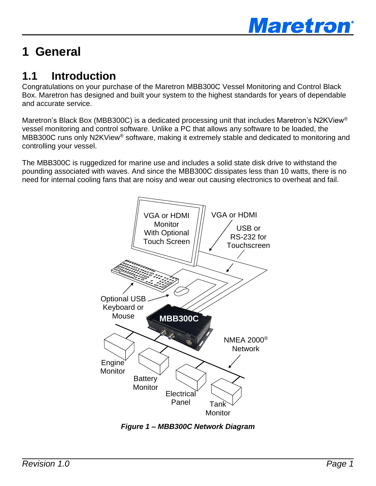

# <span id="page-4-0"></span>**1 General**

# <span id="page-4-1"></span>**1.1 Introduction**

Congratulations on your purchase of the Maretron MBB300C Vessel Monitoring and Control Black Box. Maretron has designed and built your system to the highest standards for years of dependable and accurate service.

Maretron's Black Box (MBB300C) is a dedicated processing unit that includes Maretron's N2KView<sup>®</sup> vessel monitoring and control software. Unlike a PC that allows any software to be loaded, the MBB300C runs only N2KView<sup>®</sup> software, making it extremely stable and dedicated to monitoring and controlling your vessel.

The MBB300C is ruggedized for marine use and includes a solid state disk drive to withstand the pounding associated with waves. And since the MBB300C dissipates less than 10 watts, there is no need for internal cooling fans that are noisy and wear out causing electronics to overheat and fail.



<span id="page-4-2"></span>*Figure 1 – MBB300C Network Diagram*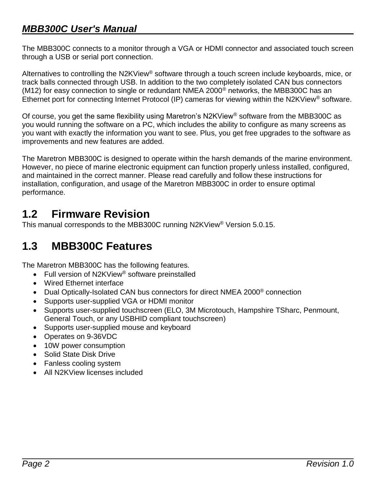### *MBB300C User's Manual*

The MBB300C connects to a monitor through a VGA or HDMI connector and associated touch screen through a USB or serial port connection.

Alternatives to controlling the N2KView<sup>®</sup> software through a touch screen include keyboards, mice, or track balls connected through USB. In addition to the two completely isolated CAN bus connectors (M12) for easy connection to single or redundant NMEA 2000 $^{\circ}$  networks, the MBB300C has an Ethernet port for connecting Internet Protocol (IP) cameras for viewing within the N2KView® software.

Of course, you get the same flexibility using Maretron's N2KView® software from the MBB300C as you would running the software on a PC, which includes the ability to configure as many screens as you want with exactly the information you want to see. Plus, you get free upgrades to the software as improvements and new features are added.

The Maretron MBB300C is designed to operate within the harsh demands of the marine environment. However, no piece of marine electronic equipment can function properly unless installed, configured, and maintained in the correct manner. Please read carefully and follow these instructions for installation, configuration, and usage of the Maretron MBB300C in order to ensure optimal performance.

# <span id="page-5-0"></span>**1.2 Firmware Revision**

<span id="page-5-1"></span>This manual corresponds to the MBB300C running N2KView® Version 5.0.15.

### **1.3 MBB300C Features**

The Maretron MBB300C has the following features.

- Full version of N2KView<sup>®</sup> software preinstalled
- Wired Ethernet interface
- Dual Optically-Isolated CAN bus connectors for direct NMEA 2000<sup>®</sup> connection
- Supports user-supplied VGA or HDMI monitor
- Supports user-supplied touchscreen (ELO, 3M Microtouch, Hampshire TSharc, Penmount, General Touch, or any USBHID compliant touchscreen)
- Supports user-supplied mouse and keyboard
- Operates on 9-36VDC
- 10W power consumption
- Solid State Disk Drive
- Fanless cooling system
- All N2KView licenses included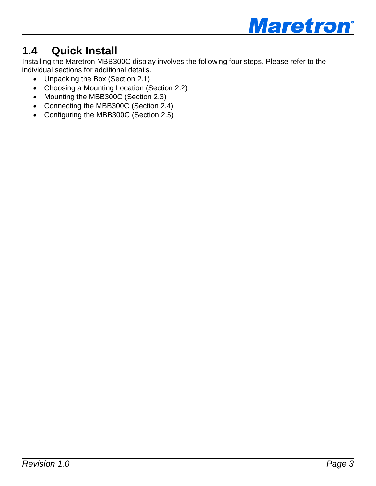

# <span id="page-6-0"></span>**1.4 Quick Install**

Installing the Maretron MBB300C display involves the following four steps. Please refer to the individual sections for additional details.

- Unpacking the Box (Section [2.1\)](#page-7-1)
- Choosing a Mounting Location (Section [2.2\)](#page-7-2)
- Mounting the MBB300C (Section [2.3\)](#page-7-3)
- Connecting the MBB300C (Section [2.4\)](#page-8-0)
- Configuring the MBB300C (Section [2.5\)](#page-12-2)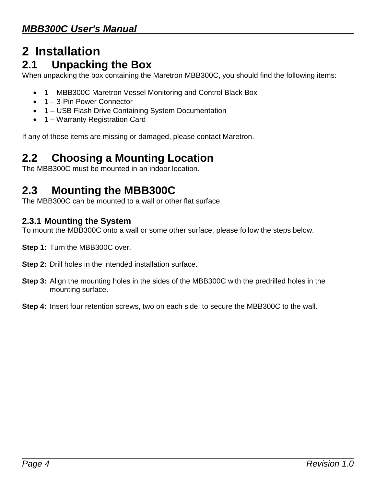# <span id="page-7-0"></span>**2 Installation 2.1 Unpacking the Box**

<span id="page-7-1"></span>When unpacking the box containing the Maretron MBB300C, you should find the following items:

- 1 MBB300C Maretron Vessel Monitoring and Control Black Box
- 1 3-Pin Power Connector
- 1 USB Flash Drive Containing System Documentation
- 1 Warranty Registration Card

<span id="page-7-2"></span>If any of these items are missing or damaged, please contact Maretron.

# **2.2 Choosing a Mounting Location**

<span id="page-7-3"></span>The MBB300C must be mounted in an indoor location.

### **2.3 Mounting the MBB300C**

<span id="page-7-4"></span>The MBB300C can be mounted to a wall or other flat surface.

#### **2.3.1 Mounting the System**

To mount the MBB300C onto a wall or some other surface, please follow the steps below.

- **Step 1:** Turn the MBB300C over.
- **Step 2:** Drill holes in the intended installation surface.
- **Step 3:** Align the mounting holes in the sides of the MBB300C with the predrilled holes in the mounting surface.
- **Step 4:** Insert four retention screws, two on each side, to secure the MBB300C to the wall.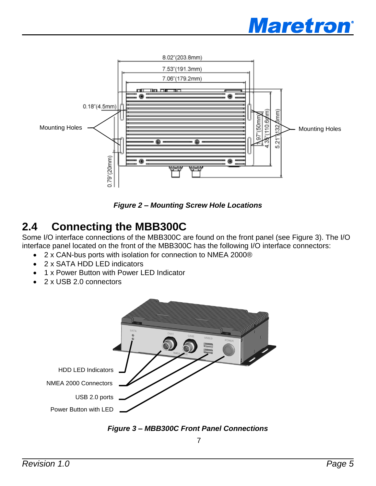



*Figure 2 – Mounting Screw Hole Locations*

# <span id="page-8-1"></span><span id="page-8-0"></span>**2.4 Connecting the MBB300C**

Some I/O interface connections of the MBB300C are found on the front panel (see [Figure 3\)](#page-8-2). The I/O interface panel located on the front of the MBB300C has the following I/O interface connectors:

- 2 x CAN-bus ports with isolation for connection to NMEA 2000®
- 2 x SATA HDD LED indicators
- 1 x Power Button with Power LED Indicator
- 2 x USB 2.0 connectors



<span id="page-8-2"></span>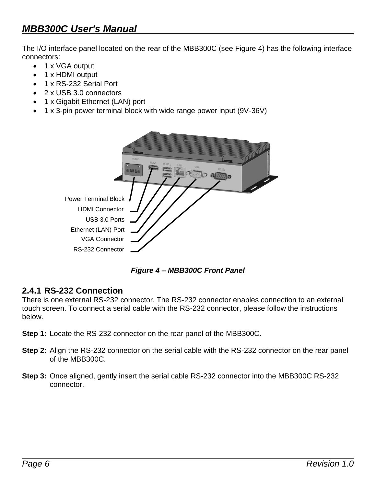### *MBB300C User's Manual*

The I/O interface panel located on the rear of the MBB300C (see [Figure 4\)](#page-9-1) has the following interface connectors:

- 1 x VGA output
- 1 x HDMI output
- 1 x RS-232 Serial Port
- 2 x USB 3.0 connectors
- 1 x Gigabit Ethernet (LAN) port
- 1 x 3-pin power terminal block with wide range power input (9V-36V)



*Figure 4 – MBB300C Front Panel*

#### <span id="page-9-1"></span><span id="page-9-0"></span>**2.4.1 RS-232 Connection**

There is one external RS-232 connector. The RS-232 connector enables connection to an external touch screen. To connect a serial cable with the RS-232 connector, please follow the instructions below.

- **Step 1:** Locate the RS-232 connector on the rear panel of the MBB300C.
- **Step 2:** Align the RS-232 connector on the serial cable with the RS-232 connector on the rear panel of the MBB300C.
- **Step 3:** Once aligned, gently insert the serial cable RS-232 connector into the MBB300C RS-232 connector.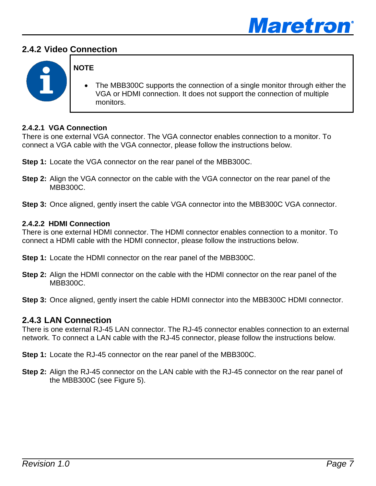

#### <span id="page-10-0"></span>**2.4.2 Video Connection**



#### **NOTE**

 The MBB300C supports the connection of a single monitor through either the VGA or HDMI connection. It does not support the connection of multiple monitors.

#### **2.4.2.1 VGA Connection**

There is one external VGA connector. The VGA connector enables connection to a monitor. To connect a VGA cable with the VGA connector, please follow the instructions below.

- **Step 1:** Locate the VGA connector on the rear panel of the MBB300C.
- **Step 2:** Align the VGA connector on the cable with the VGA connector on the rear panel of the MBB300C.
- **Step 3:** Once aligned, gently insert the cable VGA connector into the MBB300C VGA connector.

#### **2.4.2.2 HDMI Connection**

There is one external HDMI connector. The HDMI connector enables connection to a monitor. To connect a HDMI cable with the HDMI connector, please follow the instructions below.

- **Step 1:** Locate the HDMI connector on the rear panel of the MBB300C.
- **Step 2:** Align the HDMI connector on the cable with the HDMI connector on the rear panel of the MBB300C.
- <span id="page-10-1"></span>**Step 3:** Once aligned, gently insert the cable HDMI connector into the MBB300C HDMI connector.

#### **2.4.3 LAN Connection**

There is one external RJ-45 LAN connector. The RJ-45 connector enables connection to an external network. To connect a LAN cable with the RJ-45 connector, please follow the instructions below.

- **Step 1:** Locate the RJ-45 connector on the rear panel of the MBB300C.
- **Step 2:** Align the RJ-45 connector on the LAN cable with the RJ-45 connector on the rear panel of the MBB300C (see [Figure 5\)](#page-11-1).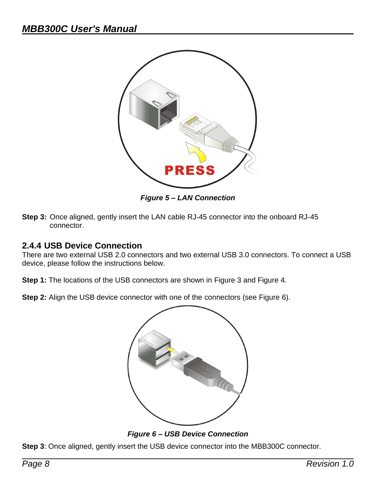

*Figure 5 – LAN Connection*

<span id="page-11-1"></span>**Step 3:** Once aligned, gently insert the LAN cable RJ-45 connector into the onboard RJ-45 connector.

#### <span id="page-11-0"></span>**2.4.4 USB Device Connection**

There are two external USB 2.0 connectors and two external USB 3.0 connectors. To connect a USB device, please follow the instructions below.

**Step 1:** The locations of the USB connectors are shown in [Figure 3](#page-8-2) and [Figure 4.](#page-9-1)

**Step 2:** Align the USB device connector with one of the connectors (see [Figure 6\)](#page-11-2).



*Figure 6 – USB Device Connection*

<span id="page-11-2"></span>**Step 3**: Once aligned, gently insert the USB device connector into the MBB300C connector.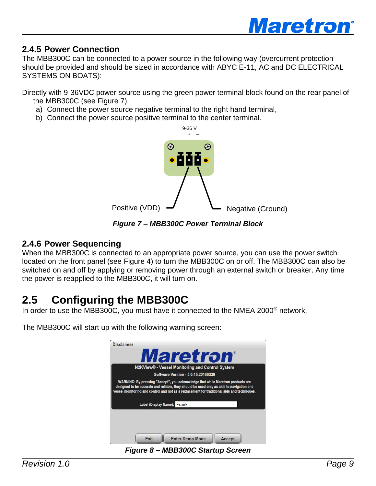

#### <span id="page-12-0"></span>**2.4.5 Power Connection**

The MBB300C can be connected to a power source in the following way (overcurrent protection should be provided and should be sized in accordance with ABYC E-11, AC and DC ELECTRICAL SYSTEMS ON BOATS):

Directly with 9-36VDC power source using the green power terminal block found on the rear panel of the MBB300C (see [Figure 7\)](#page-12-3).

- a) Connect the power source negative terminal to the right hand terminal,
- b) Connect the power source positive terminal to the center terminal.



*Figure 7 – MBB300C Power Terminal Block*

#### <span id="page-12-3"></span><span id="page-12-1"></span>**2.4.6 Power Sequencing**

When the MBB300C is connected to an appropriate power source, you can use the power switch located on the front panel (see [Figure 4\)](#page-9-1) to turn the MBB300C on or off. The MBB300C can also be switched on and off by applying or removing power through an external switch or breaker. Any time the power is reapplied to the MBB300C, it will turn on.

# <span id="page-12-2"></span>**2.5 Configuring the MBB300C**

In order to use the MBB300C, you must have it connected to the NMEA 2000 $^{\circ}$  network.

The MBB300C will start up with the following warning screen:

|                                                                                                                                                                                         |                             | <i><b>Maretron</b></i>                          |  |  |
|-----------------------------------------------------------------------------------------------------------------------------------------------------------------------------------------|-----------------------------|-------------------------------------------------|--|--|
|                                                                                                                                                                                         |                             | N2KView® - Vessel Monitoring and Control System |  |  |
|                                                                                                                                                                                         |                             | Software Version - 5.0.15.20160330              |  |  |
| WARNING: By pressing "Accept", you acknowledge that while Maretron products are                                                                                                         |                             |                                                 |  |  |
| designed to be accurate and reliable, they should be used only as aids to navigation and<br>vessel monitoring and control and not as a replacement for traditional aids and techniques. | Label (Display Name): Frank |                                                 |  |  |
|                                                                                                                                                                                         |                             |                                                 |  |  |
|                                                                                                                                                                                         |                             |                                                 |  |  |

<span id="page-12-4"></span>*Figure 8 – MBB300C Startup Screen*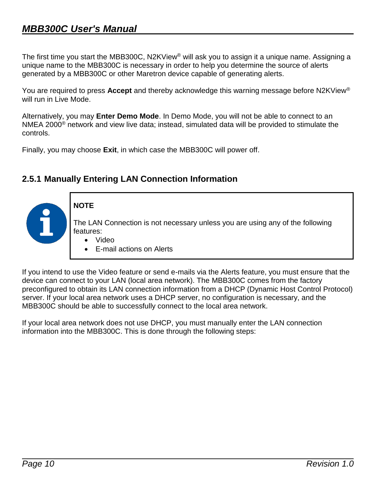The first time you start the MBB300C, N2KView® will ask you to assign it a unique name. Assigning a unique name to the MBB300C is necessary in order to help you determine the source of alerts generated by a MBB300C or other Maretron device capable of generating alerts.

You are required to press **Accept** and thereby acknowledge this warning message before N2KView® will run in Live Mode.

Alternatively, you may **Enter Demo Mode**. In Demo Mode, you will not be able to connect to an NMEA 2000 $^{\circ}$  network and view live data; instead, simulated data will be provided to stimulate the controls.

Finally, you may choose **Exit**, in which case the MBB300C will power off.

#### <span id="page-13-0"></span>**2.5.1 Manually Entering LAN Connection Information**

**NOTE** The LAN Connection is not necessary unless you are using any of the following features: Video E-mail actions on Alerts

If you intend to use the Video feature or send e-mails via the Alerts feature, you must ensure that the device can connect to your LAN (local area network). The MBB300C comes from the factory preconfigured to obtain its LAN connection information from a DHCP (Dynamic Host Control Protocol) server. If your local area network uses a DHCP server, no configuration is necessary, and the MBB300C should be able to successfully connect to the local area network.

If your local area network does not use DHCP, you must manually enter the LAN connection information into the MBB300C. This is done through the following steps: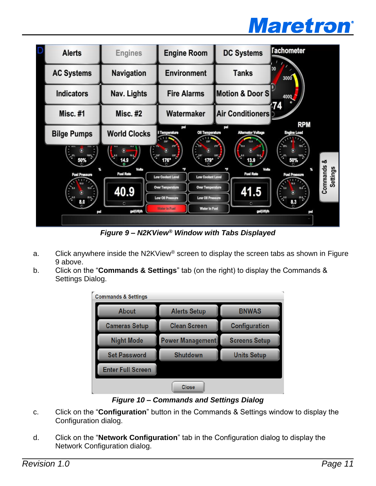



*Figure 9 – N2KView® Window with Tabs Displayed*

- <span id="page-14-0"></span>a. Click anywhere inside the N2KView® screen to display the screen tabs as shown in Figure [9](#page-14-0) above.
- b. Click on the "**Commands & Settings**" tab (on the right) to display the Commands & Settings Dialog.



*Figure 10 – Commands and Settings Dialog*

- <span id="page-14-1"></span>c. Click on the "**Configuration**" button in the Commands & Settings window to display the Configuration dialog.
- d. Click on the "**Network Configuration**" tab in the Configuration dialog to display the Network Configuration dialog.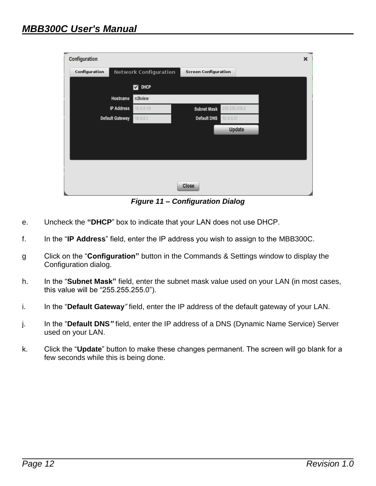| Configuration          |                              |                    |                             | × |
|------------------------|------------------------------|--------------------|-----------------------------|---|
| Configuration          | <b>Network Configuration</b> |                    | <b>Screen Configuration</b> |   |
|                        | DHCP<br>☑                    |                    |                             |   |
| Hostname               | n2kview                      |                    |                             |   |
| <b>IP Address</b>      | 10.0.0.19                    | <b>Subnet Mask</b> | 255.255.255.0               |   |
| <b>Default Gateway</b> | 10.0.0.1                     | <b>Default DNS</b> | 10.0.0.31                   |   |
|                        |                              |                    | Update                      |   |
|                        |                              |                    |                             |   |
|                        |                              |                    |                             |   |
|                        |                              |                    |                             |   |
|                        |                              |                    |                             |   |
|                        |                              | Close              |                             |   |

*Figure 11 – Configuration Dialog*

- <span id="page-15-0"></span>e. Uncheck the **"DHCP**" box to indicate that your LAN does not use DHCP.
- f. In the "**IP Address**" field, enter the IP address you wish to assign to the MBB300C.
- g Click on the "**Configuration"** button in the Commands & Settings window to display the Configuration dialog.
- h. In the "**Subnet Mask"** field, enter the subnet mask value used on your LAN (in most cases, this value will be "255.255.255.0").
- i. In the "**Default Gateway***"* field, enter the IP address of the default gateway of your LAN.
- j. In the "**Default DNS***"* field, enter the IP address of a DNS (Dynamic Name Service) Server used on your LAN.
- k. Click the "**Update**" button to make these changes permanent. The screen will go blank for a few seconds while this is being done.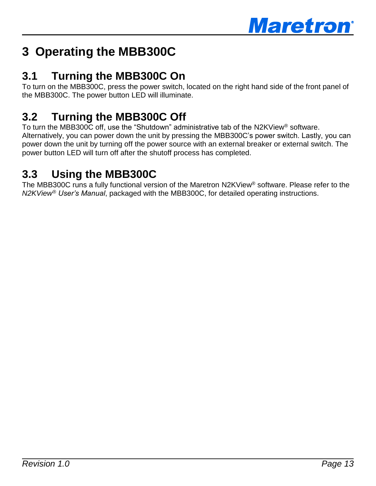

# <span id="page-16-0"></span>**3 Operating the MBB300C**

# <span id="page-16-1"></span>**3.1 Turning the MBB300C On**

To turn on the MBB300C, press the power switch, located on the right hand side of the front panel of the MBB300C. The power button LED will illuminate.

# <span id="page-16-2"></span>**3.2 Turning the MBB300C Off**

To turn the MBB300C off, use the "Shutdown" administrative tab of the N2KView® software. Alternatively, you can power down the unit by pressing the MBB300C's power switch. Lastly, you can power down the unit by turning off the power source with an external breaker or external switch. The power button LED will turn off after the shutoff process has completed.

# <span id="page-16-3"></span>**3.3 Using the MBB300C**

The MBB300C runs a fully functional version of the Maretron N2KView® software. Please refer to the *N2KView® User's Manual*, packaged with the MBB300C, for detailed operating instructions.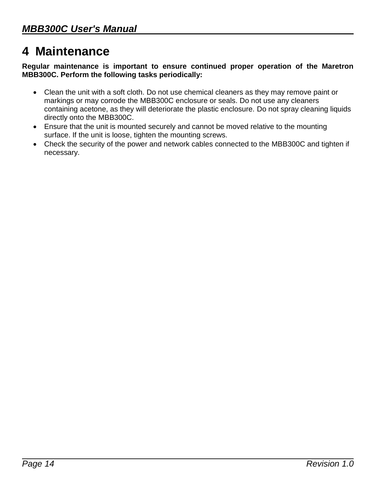# <span id="page-17-0"></span>**4 Maintenance**

**Regular maintenance is important to ensure continued proper operation of the Maretron MBB300C. Perform the following tasks periodically:**

- Clean the unit with a soft cloth. Do not use chemical cleaners as they may remove paint or markings or may corrode the MBB300C enclosure or seals. Do not use any cleaners containing acetone, as they will deteriorate the plastic enclosure. Do not spray cleaning liquids directly onto the MBB300C.
- Ensure that the unit is mounted securely and cannot be moved relative to the mounting surface. If the unit is loose, tighten the mounting screws.
- Check the security of the power and network cables connected to the MBB300C and tighten if necessary.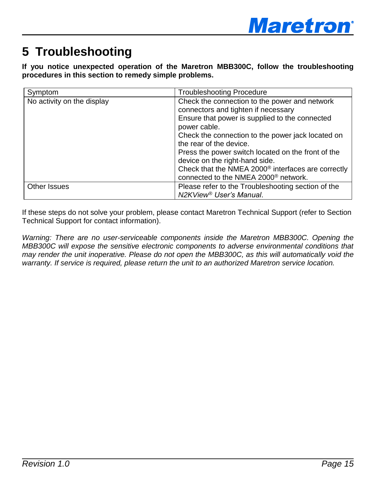

# <span id="page-18-0"></span>**5 Troubleshooting**

**If you notice unexpected operation of the Maretron MBB300C, follow the troubleshooting procedures in this section to remedy simple problems.**

| Symptom                    | <b>Troubleshooting Procedure</b>                                                                                                                                                                                                                                                                                                                                                                                                                     |
|----------------------------|------------------------------------------------------------------------------------------------------------------------------------------------------------------------------------------------------------------------------------------------------------------------------------------------------------------------------------------------------------------------------------------------------------------------------------------------------|
| No activity on the display | Check the connection to the power and network<br>connectors and tighten if necessary<br>Ensure that power is supplied to the connected<br>power cable.<br>Check the connection to the power jack located on<br>the rear of the device.<br>Press the power switch located on the front of the<br>device on the right-hand side.<br>Check that the NMEA 2000 <sup>®</sup> interfaces are correctly<br>connected to the NMEA 2000 <sup>®</sup> network. |
| Other Issues               | Please refer to the Troubleshooting section of the<br>N2KView <sup>®</sup> User's Manual.                                                                                                                                                                                                                                                                                                                                                            |

If these steps do not solve your problem, please contact Maretron Technical Support (refer to Section [Technical Support](#page-20-0) for contact information).

*Warning: There are no user-serviceable components inside the Maretron MBB300C. Opening the MBB300C will expose the sensitive electronic components to adverse environmental conditions that may render the unit inoperative. Please do not open the MBB300C, as this will automatically void the warranty. If service is required, please return the unit to an authorized Maretron service location.*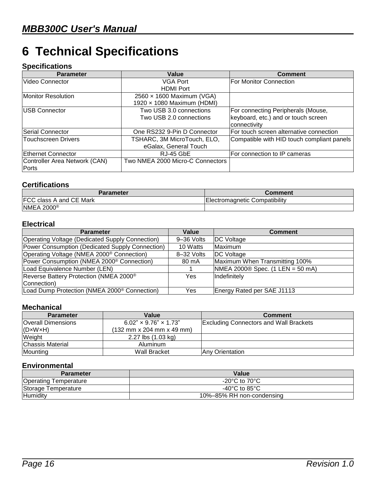# <span id="page-19-0"></span>**6 Technical Specifications**

#### **Specifications**

| <b>Parameter</b>              | Value                            | <b>Comment</b>                             |
|-------------------------------|----------------------------------|--------------------------------------------|
| Video Connector               | VGA Port                         | <b>For Monitor Connection</b>              |
|                               | <b>HDMI Port</b>                 |                                            |
| <b>Monitor Resolution</b>     | 2560 x 1600 Maximum (VGA)        |                                            |
|                               | 1920 x 1080 Maximum (HDMI)       |                                            |
| USB Connector                 | Two USB 3.0 connections          | For connecting Peripherals (Mouse,         |
|                               | Two USB 2.0 connections          | keyboard, etc.) and or touch screen        |
|                               |                                  | connectivity                               |
| Serial Connector              | One RS232 9-Pin D Connector      | For touch screen alternative connection    |
| <b>Touchscreen Drivers</b>    | TSHARC, 3M MicroTouch, ELO,      | Compatible with HID touch compliant panels |
|                               | eGalax, General Touch            |                                            |
| <b>Ethernet Connector</b>     | RJ-45 GbE                        | For connection to IP cameras               |
| Controller Area Network (CAN) | Two NMEA 2000 Micro-C Connectors |                                            |
| Ports                         |                                  |                                            |

#### **Certifications**

| Parameter                      | Comment                       |
|--------------------------------|-------------------------------|
| <b>FCC class A and CE Mark</b> | Electromagnetic Compatibility |
| <b>NMEA 2000</b> <sup>®</sup>  |                               |

#### **Electrical**

| <b>Parameter</b>                                         | Value      | <b>Comment</b>                    |
|----------------------------------------------------------|------------|-----------------------------------|
| Operating Voltage (Dedicated Supply Connection)          | 9-36 Volts | <b>DC</b> Voltage                 |
| Power Consumption (Dedicated Supply Connection)          | 10 Watts   | Maximum                           |
| Operating Voltage (NMEA 2000 <sup>®</sup> Connection)    | 8-32 Volts | DC Voltage                        |
| Power Consumption (NMEA 2000 <sup>®</sup> Connection)    | 80 mA      | Maximum When Transmitting 100%    |
| Load Equivalence Number (LEN)                            |            | $NMEA 2000@Spec. (1 LEN = 50 mA)$ |
| Reverse Battery Protection (NMEA 2000 <sup>®</sup>       | Yes        | Indefinitely                      |
| Connection)                                              |            |                                   |
| Load Dump Protection (NMEA 2000 <sup>®</sup> Connection) | Yes        | Energy Rated per SAE J1113        |

#### **Mechanical**

| <b>Parameter</b>          | Value                                                               | <b>Comment</b>                                |
|---------------------------|---------------------------------------------------------------------|-----------------------------------------------|
| <b>Overall Dimensions</b> | $6.02$ " × 9.76" × 1.73"                                            | <b>Excluding Connectors and Wall Brackets</b> |
| $ $ (DxWxH)               | $(132 \, \text{mm} \times 204 \, \text{mm} \times 49 \, \text{mm})$ |                                               |
| Weight                    | 2.27 lbs (1.03 kg)                                                  |                                               |
| Chassis Material          | Aluminum                                                            |                                               |
| Mounting                  | Wall Bracket                                                        | <b>IAnv Orientation</b>                       |

#### **Environmental**

| <b>Parameter</b>             | Value                               |
|------------------------------|-------------------------------------|
| <b>Operating Temperature</b> | $-20^{\circ}$ C to 70 $^{\circ}$ C  |
| Storage Temperature          | -40 $^{\circ}$ C to 85 $^{\circ}$ C |
| Humidity                     | 10%-85% RH non-condensing           |